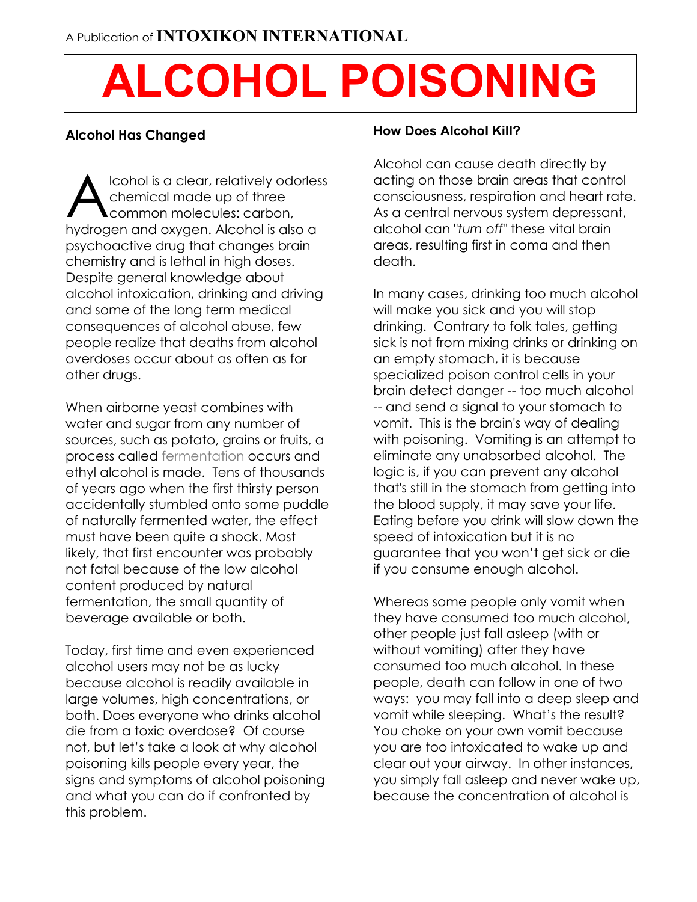# **ALCOHOL POISONING**

## **Alcohol Has Changed**

lcohol is a clear, relatively odorless chemical made up of three common molecules: carbon, hydrogen and oxygen. Alcohol is also a psychoactive drug that changes brain chemistry and is lethal in high doses. Despite general knowledge about alcohol intoxication, drinking and driving and some of the long term medical consequences of alcohol abuse, few people realize that deaths from alcohol overdoses occur about as often as for other drugs. A

When airborne yeast combines with water and sugar from any number of sources, such as potato, grains or fruits, a process called fermentation occurs and ethyl alcohol is made. Tens of thousands of years ago when the first thirsty person accidentally stumbled onto some puddle of naturally fermented water, the effect must have been quite a shock. Most likely, that first encounter was probably not fatal because of the low alcohol content produced by natural fermentation, the small quantity of beverage available or both.

Today, first time and even experienced alcohol users may not be as lucky because alcohol is readily available in large volumes, high concentrations, or both. Does everyone who drinks alcohol die from a toxic overdose? Of course not, but let's take a look at why alcohol poisoning kills people every year, the signs and symptoms of alcohol poisoning and what you can do if confronted by this problem.

#### **How Does Alcohol Kill?**

Alcohol can cause death directly by acting on those brain areas that control consciousness, respiration and heart rate. As a central nervous system depressant, alcohol can "*turn off"* these vital brain areas, resulting first in coma and then death.

In many cases, drinking too much alcohol will make you sick and you will stop drinking. Contrary to folk tales, getting sick is not from mixing drinks or drinking on an empty stomach, it is because specialized poison control cells in your brain detect danger -- too much alcohol -- and send a signal to your stomach to vomit. This is the brain's way of dealing with poisoning. Vomiting is an attempt to eliminate any unabsorbed alcohol. The logic is, if you can prevent any alcohol that's still in the stomach from getting into the blood supply, it may save your life. Eating before you drink will slow down the speed of intoxication but it is no guarantee that you won't get sick or die if you consume enough alcohol.

Whereas some people only vomit when they have consumed too much alcohol, other people just fall asleep (with or without vomiting) after they have consumed too much alcohol. In these people, death can follow in one of two ways: you may fall into a deep sleep and vomit while sleeping. What's the result? You choke on your own vomit because you are too intoxicated to wake up and clear out your airway. In other instances, you simply fall asleep and never wake up, because the concentration of alcohol is